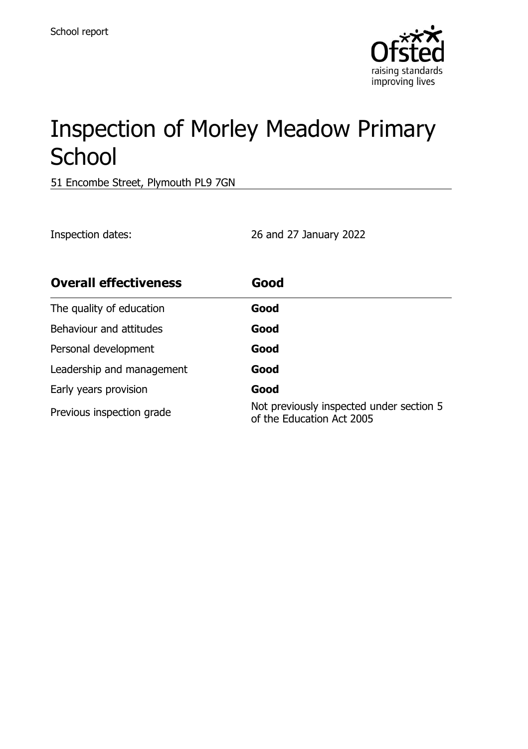

# Inspection of Morley Meadow Primary **School**

51 Encombe Street, Plymouth PL9 7GN

Inspection dates: 26 and 27 January 2022

| <b>Overall effectiveness</b> | Good                                                                  |
|------------------------------|-----------------------------------------------------------------------|
| The quality of education     | Good                                                                  |
| Behaviour and attitudes      | Good                                                                  |
| Personal development         | Good                                                                  |
| Leadership and management    | Good                                                                  |
| Early years provision        | Good                                                                  |
| Previous inspection grade    | Not previously inspected under section 5<br>of the Education Act 2005 |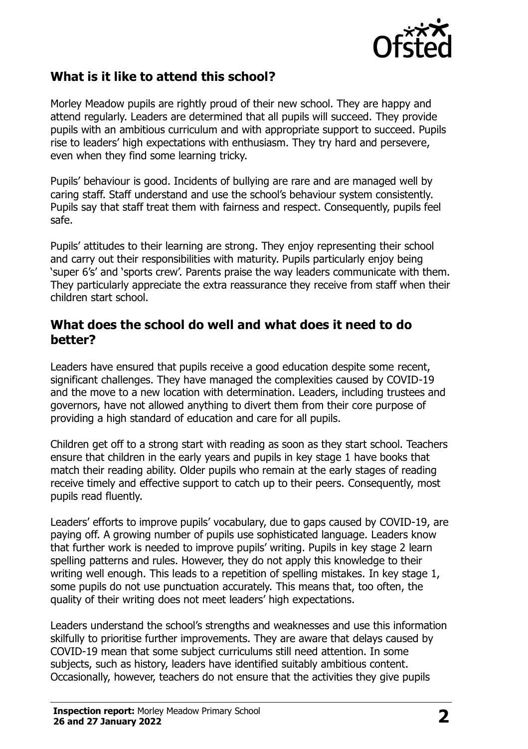

### **What is it like to attend this school?**

Morley Meadow pupils are rightly proud of their new school. They are happy and attend regularly. Leaders are determined that all pupils will succeed. They provide pupils with an ambitious curriculum and with appropriate support to succeed. Pupils rise to leaders' high expectations with enthusiasm. They try hard and persevere, even when they find some learning tricky.

Pupils' behaviour is good. Incidents of bullying are rare and are managed well by caring staff. Staff understand and use the school's behaviour system consistently. Pupils say that staff treat them with fairness and respect. Consequently, pupils feel safe.

Pupils' attitudes to their learning are strong. They enjoy representing their school and carry out their responsibilities with maturity. Pupils particularly enjoy being 'super 6's' and 'sports crew'. Parents praise the way leaders communicate with them. They particularly appreciate the extra reassurance they receive from staff when their children start school.

#### **What does the school do well and what does it need to do better?**

Leaders have ensured that pupils receive a good education despite some recent, significant challenges. They have managed the complexities caused by COVID-19 and the move to a new location with determination. Leaders, including trustees and governors, have not allowed anything to divert them from their core purpose of providing a high standard of education and care for all pupils.

Children get off to a strong start with reading as soon as they start school. Teachers ensure that children in the early years and pupils in key stage 1 have books that match their reading ability. Older pupils who remain at the early stages of reading receive timely and effective support to catch up to their peers. Consequently, most pupils read fluently.

Leaders' efforts to improve pupils' vocabulary, due to gaps caused by COVID-19, are paying off. A growing number of pupils use sophisticated language. Leaders know that further work is needed to improve pupils' writing. Pupils in key stage 2 learn spelling patterns and rules. However, they do not apply this knowledge to their writing well enough. This leads to a repetition of spelling mistakes. In key stage 1, some pupils do not use punctuation accurately. This means that, too often, the quality of their writing does not meet leaders' high expectations.

Leaders understand the school's strengths and weaknesses and use this information skilfully to prioritise further improvements. They are aware that delays caused by COVID-19 mean that some subject curriculums still need attention. In some subjects, such as history, leaders have identified suitably ambitious content. Occasionally, however, teachers do not ensure that the activities they give pupils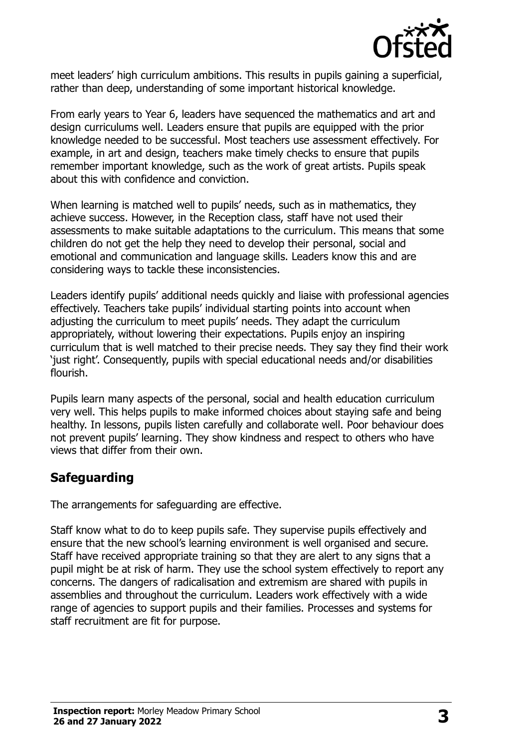

meet leaders' high curriculum ambitions. This results in pupils gaining a superficial, rather than deep, understanding of some important historical knowledge.

From early years to Year 6, leaders have sequenced the mathematics and art and design curriculums well. Leaders ensure that pupils are equipped with the prior knowledge needed to be successful. Most teachers use assessment effectively. For example, in art and design, teachers make timely checks to ensure that pupils remember important knowledge, such as the work of great artists. Pupils speak about this with confidence and conviction.

When learning is matched well to pupils' needs, such as in mathematics, they achieve success. However, in the Reception class, staff have not used their assessments to make suitable adaptations to the curriculum. This means that some children do not get the help they need to develop their personal, social and emotional and communication and language skills. Leaders know this and are considering ways to tackle these inconsistencies.

Leaders identify pupils' additional needs quickly and liaise with professional agencies effectively. Teachers take pupils' individual starting points into account when adjusting the curriculum to meet pupils' needs. They adapt the curriculum appropriately, without lowering their expectations. Pupils enjoy an inspiring curriculum that is well matched to their precise needs. They say they find their work 'just right'. Consequently, pupils with special educational needs and/or disabilities flourish.

Pupils learn many aspects of the personal, social and health education curriculum very well. This helps pupils to make informed choices about staying safe and being healthy. In lessons, pupils listen carefully and collaborate well. Poor behaviour does not prevent pupils' learning. They show kindness and respect to others who have views that differ from their own.

### **Safeguarding**

The arrangements for safeguarding are effective.

Staff know what to do to keep pupils safe. They supervise pupils effectively and ensure that the new school's learning environment is well organised and secure. Staff have received appropriate training so that they are alert to any signs that a pupil might be at risk of harm. They use the school system effectively to report any concerns. The dangers of radicalisation and extremism are shared with pupils in assemblies and throughout the curriculum. Leaders work effectively with a wide range of agencies to support pupils and their families. Processes and systems for staff recruitment are fit for purpose.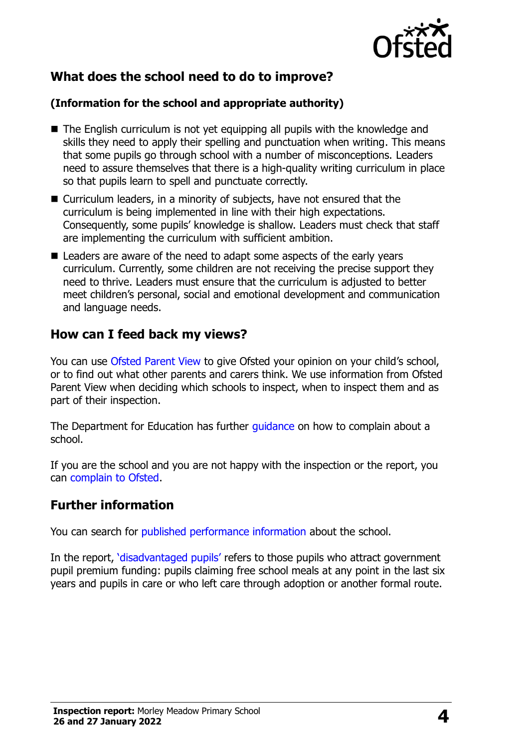

# **What does the school need to do to improve?**

#### **(Information for the school and appropriate authority)**

- The English curriculum is not yet equipping all pupils with the knowledge and skills they need to apply their spelling and punctuation when writing. This means that some pupils go through school with a number of misconceptions. Leaders need to assure themselves that there is a high-quality writing curriculum in place so that pupils learn to spell and punctuate correctly.
- Curriculum leaders, in a minority of subjects, have not ensured that the curriculum is being implemented in line with their high expectations. Consequently, some pupils' knowledge is shallow. Leaders must check that staff are implementing the curriculum with sufficient ambition.
- Leaders are aware of the need to adapt some aspects of the early years curriculum. Currently, some children are not receiving the precise support they need to thrive. Leaders must ensure that the curriculum is adjusted to better meet children's personal, social and emotional development and communication and language needs.

# **How can I feed back my views?**

You can use [Ofsted Parent View](http://parentview.ofsted.gov.uk/) to give Ofsted your opinion on your child's school, or to find out what other parents and carers think. We use information from Ofsted Parent View when deciding which schools to inspect, when to inspect them and as part of their inspection.

The Department for Education has further [guidance](http://www.gov.uk/complain-about-school) on how to complain about a school.

If you are the school and you are not happy with the inspection or the report, you can [complain to Ofsted.](http://www.gov.uk/complain-ofsted-report)

### **Further information**

You can search for [published performance information](http://www.compare-school-performance.service.gov.uk/) about the school.

In the report, '[disadvantaged pupils](http://www.gov.uk/guidance/pupil-premium-information-for-schools-and-alternative-provision-settings)' refers to those pupils who attract government pupil premium funding: pupils claiming free school meals at any point in the last six years and pupils in care or who left care through adoption or another formal route.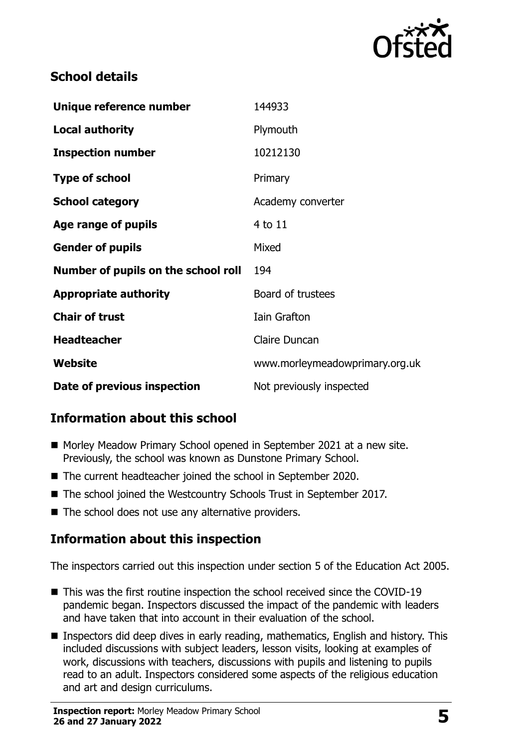

# **School details**

| Unique reference number             | 144933                         |
|-------------------------------------|--------------------------------|
| <b>Local authority</b>              | Plymouth                       |
| <b>Inspection number</b>            | 10212130                       |
| <b>Type of school</b>               | Primary                        |
| <b>School category</b>              | Academy converter              |
| Age range of pupils                 | $4$ to $11$                    |
| <b>Gender of pupils</b>             | Mixed                          |
| Number of pupils on the school roll | 194                            |
| <b>Appropriate authority</b>        | Board of trustees              |
| <b>Chair of trust</b>               | <b>Iain Grafton</b>            |
| <b>Headteacher</b>                  | <b>Claire Duncan</b>           |
| Website                             | www.morleymeadowprimary.org.uk |
| Date of previous inspection         | Not previously inspected       |

# **Information about this school**

- Morley Meadow Primary School opened in September 2021 at a new site. Previously, the school was known as Dunstone Primary School.
- The current headteacher joined the school in September 2020.
- The school joined the Westcountry Schools Trust in September 2017.
- The school does not use any alternative providers.

# **Information about this inspection**

The inspectors carried out this inspection under section 5 of the Education Act 2005.

- This was the first routine inspection the school received since the COVID-19 pandemic began. Inspectors discussed the impact of the pandemic with leaders and have taken that into account in their evaluation of the school.
- Inspectors did deep dives in early reading, mathematics, English and history. This included discussions with subject leaders, lesson visits, looking at examples of work, discussions with teachers, discussions with pupils and listening to pupils read to an adult. Inspectors considered some aspects of the religious education and art and design curriculums.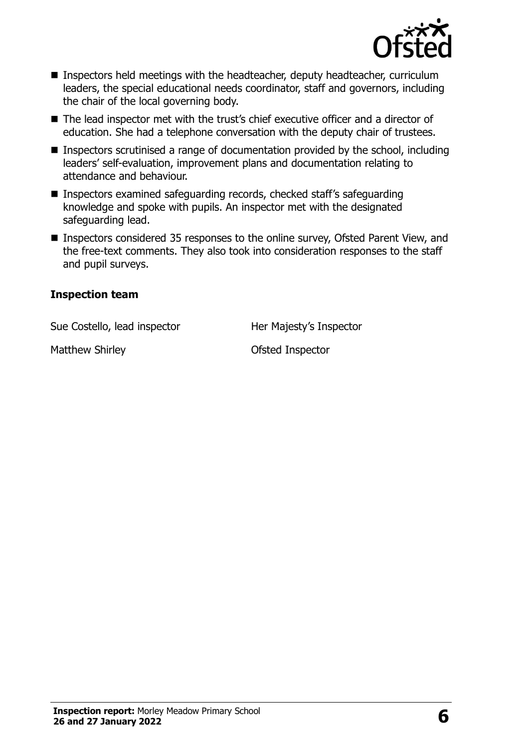

- Inspectors held meetings with the headteacher, deputy headteacher, curriculum leaders, the special educational needs coordinator, staff and governors, including the chair of the local governing body.
- The lead inspector met with the trust's chief executive officer and a director of education. She had a telephone conversation with the deputy chair of trustees.
- Inspectors scrutinised a range of documentation provided by the school, including leaders' self-evaluation, improvement plans and documentation relating to attendance and behaviour.
- Inspectors examined safeguarding records, checked staff's safeguarding knowledge and spoke with pupils. An inspector met with the designated safeguarding lead.
- Inspectors considered 35 responses to the online survey, Ofsted Parent View, and the free-text comments. They also took into consideration responses to the staff and pupil surveys.

#### **Inspection team**

Sue Costello, lead inspector **Her Majesty's Inspector** 

Matthew Shirley **Contract Contract Inspector** Ofsted Inspector